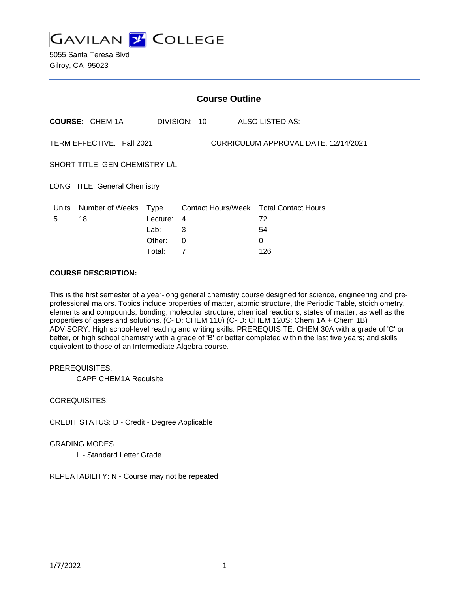

5055 Santa Teresa Blvd Gilroy, CA 95023

| <b>Course Outline</b>                                             |                            |          |                |                                        |
|-------------------------------------------------------------------|----------------------------|----------|----------------|----------------------------------------|
|                                                                   | <b>COURSE: CHEM 1A</b>     |          | DIVISION: 10   | ALSO LISTED AS:                        |
| CURRICULUM APPROVAL DATE: 12/14/2021<br>TERM EFFECTIVE: Fall 2021 |                            |          |                |                                        |
| SHORT TITLE: GEN CHEMISTRY L/L                                    |                            |          |                |                                        |
| <b>LONG TITLE: General Chemistry</b>                              |                            |          |                |                                        |
|                                                                   | Units Number of Weeks Type |          |                | Contact Hours/Week Total Contact Hours |
| 5                                                                 | 18                         | Lecture: | 4              | 72                                     |
|                                                                   |                            | Lab:     | 3              | 54                                     |
|                                                                   |                            | Other:   | 0              | 0                                      |
|                                                                   |                            | Total:   | $\overline{7}$ | 126                                    |

### **COURSE DESCRIPTION:**

This is the first semester of a year-long general chemistry course designed for science, engineering and preprofessional majors. Topics include properties of matter, atomic structure, the Periodic Table, stoichiometry, elements and compounds, bonding, molecular structure, chemical reactions, states of matter, as well as the properties of gases and solutions. (C-ID: CHEM 110) (C-ID: CHEM 120S: Chem 1A + Chem 1B) ADVISORY: High school-level reading and writing skills. PREREQUISITE: CHEM 30A with a grade of 'C' or better, or high school chemistry with a grade of 'B' or better completed within the last five years; and skills equivalent to those of an Intermediate Algebra course.

#### PREREQUISITES:

CAPP CHEM1A Requisite

### COREQUISITES:

CREDIT STATUS: D - Credit - Degree Applicable

### GRADING MODES

L - Standard Letter Grade

REPEATABILITY: N - Course may not be repeated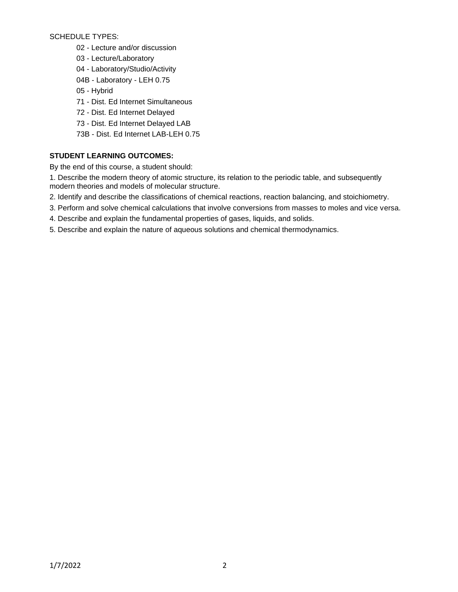SCHEDULE TYPES:

- 02 Lecture and/or discussion
- 03 Lecture/Laboratory
- 04 Laboratory/Studio/Activity
- 04B Laboratory LEH 0.75
- 05 Hybrid
- 71 Dist. Ed Internet Simultaneous
- 72 Dist. Ed Internet Delayed
- 73 Dist. Ed Internet Delayed LAB
- 73B Dist. Ed Internet LAB-LEH 0.75

# **STUDENT LEARNING OUTCOMES:**

By the end of this course, a student should:

1. Describe the modern theory of atomic structure, its relation to the periodic table, and subsequently modern theories and models of molecular structure.

- 2. Identify and describe the classifications of chemical reactions, reaction balancing, and stoichiometry.
- 3. Perform and solve chemical calculations that involve conversions from masses to moles and vice versa.
- 4. Describe and explain the fundamental properties of gases, liquids, and solids.
- 5. Describe and explain the nature of aqueous solutions and chemical thermodynamics.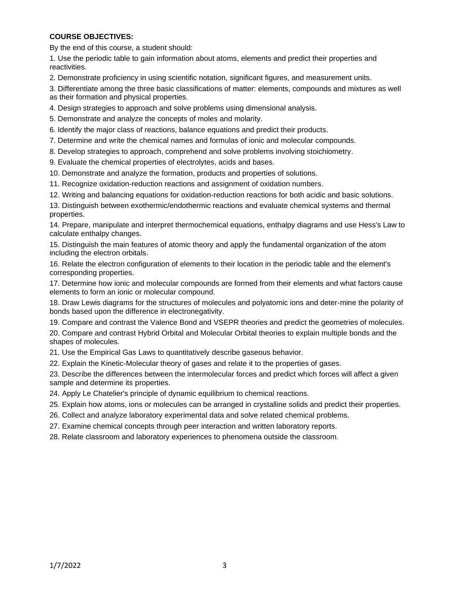## **COURSE OBJECTIVES:**

By the end of this course, a student should:

1. Use the periodic table to gain information about atoms, elements and predict their properties and reactivities.

2. Demonstrate proficiency in using scientific notation, significant figures, and measurement units.

3. Differentiate among the three basic classifications of matter: elements, compounds and mixtures as well as their formation and physical properties.

4. Design strategies to approach and solve problems using dimensional analysis.

5. Demonstrate and analyze the concepts of moles and molarity.

6. Identify the major class of reactions, balance equations and predict their products.

7. Determine and write the chemical names and formulas of ionic and molecular compounds.

8. Develop strategies to approach, comprehend and solve problems involving stoichiometry.

9. Evaluate the chemical properties of electrolytes, acids and bases.

10. Demonstrate and analyze the formation, products and properties of solutions.

11. Recognize oxidation-reduction reactions and assignment of oxidation numbers.

12. Writing and balancing equations for oxidation-reduction reactions for both acidic and basic solutions.

13. Distinguish between exothermic/endothermic reactions and evaluate chemical systems and thermal properties.

14. Prepare, manipulate and interpret thermochemical equations, enthalpy diagrams and use Hess's Law to calculate enthalpy changes.

15. Distinguish the main features of atomic theory and apply the fundamental organization of the atom including the electron orbitals.

16. Relate the electron configuration of elements to their location in the periodic table and the element's corresponding properties.

17. Determine how ionic and molecular compounds are formed from their elements and what factors cause elements to form an ionic or molecular compound.

18. Draw Lewis diagrams for the structures of molecules and polyatomic ions and deter-mine the polarity of bonds based upon the difference in electronegativity.

19. Compare and contrast the Valence Bond and VSEPR theories and predict the geometries of molecules.

20. Compare and contrast Hybrid Orbital and Molecular Orbital theories to explain multiple bonds and the shapes of molecules.

21. Use the Empirical Gas Laws to quantitatively describe gaseous behavior.

22. Explain the Kinetic-Molecular theory of gases and relate it to the properties of gases.

23. Describe the differences between the intermolecular forces and predict which forces will affect a given sample and determine its properties.

24. Apply Le Chatelier's principle of dynamic equilibrium to chemical reactions.

25. Explain how atoms, ions or molecules can be arranged in crystalline solids and predict their properties.

26. Collect and analyze laboratory experimental data and solve related chemical problems.

27. Examine chemical concepts through peer interaction and written laboratory reports.

28. Relate classroom and laboratory experiences to phenomena outside the classroom.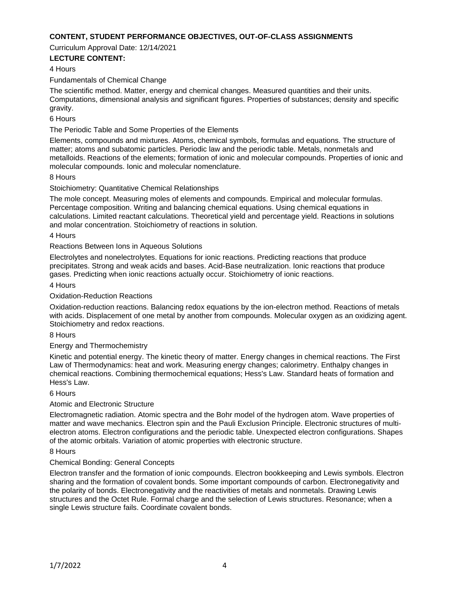### **CONTENT, STUDENT PERFORMANCE OBJECTIVES, OUT-OF-CLASS ASSIGNMENTS**

Curriculum Approval Date: 12/14/2021

## **LECTURE CONTENT:**

### 4 Hours

Fundamentals of Chemical Change

The scientific method. Matter, energy and chemical changes. Measured quantities and their units. Computations, dimensional analysis and significant figures. Properties of substances; density and specific gravity.

### 6 Hours

The Periodic Table and Some Properties of the Elements

Elements, compounds and mixtures. Atoms, chemical symbols, formulas and equations. The structure of matter; atoms and subatomic particles. Periodic law and the periodic table. Metals, nonmetals and metalloids. Reactions of the elements; formation of ionic and molecular compounds. Properties of ionic and molecular compounds. Ionic and molecular nomenclature.

#### 8 Hours

#### Stoichiometry: Quantitative Chemical Relationships

The mole concept. Measuring moles of elements and compounds. Empirical and molecular formulas. Percentage composition. Writing and balancing chemical equations. Using chemical equations in calculations. Limited reactant calculations. Theoretical yield and percentage yield. Reactions in solutions and molar concentration. Stoichiometry of reactions in solution.

#### 4 Hours

#### Reactions Between Ions in Aqueous Solutions

Electrolytes and nonelectrolytes. Equations for ionic reactions. Predicting reactions that produce precipitates. Strong and weak acids and bases. Acid-Base neutralization. Ionic reactions that produce gases. Predicting when ionic reactions actually occur. Stoichiometry of ionic reactions.

#### 4 Hours

#### Oxidation-Reduction Reactions

Oxidation-reduction reactions. Balancing redox equations by the ion-electron method. Reactions of metals with acids. Displacement of one metal by another from compounds. Molecular oxygen as an oxidizing agent. Stoichiometry and redox reactions.

#### 8 Hours

#### Energy and Thermochemistry

Kinetic and potential energy. The kinetic theory of matter. Energy changes in chemical reactions. The First Law of Thermodynamics: heat and work. Measuring energy changes; calorimetry. Enthalpy changes in chemical reactions. Combining thermochemical equations; Hess's Law. Standard heats of formation and Hess's Law.

#### 6 Hours

#### Atomic and Electronic Structure

Electromagnetic radiation. Atomic spectra and the Bohr model of the hydrogen atom. Wave properties of matter and wave mechanics. Electron spin and the Pauli Exclusion Principle. Electronic structures of multielectron atoms. Electron configurations and the periodic table. Unexpected electron configurations. Shapes of the atomic orbitals. Variation of atomic properties with electronic structure.

#### 8 Hours

#### Chemical Bonding: General Concepts

Electron transfer and the formation of ionic compounds. Electron bookkeeping and Lewis symbols. Electron sharing and the formation of covalent bonds. Some important compounds of carbon. Electronegativity and the polarity of bonds. Electronegativity and the reactivities of metals and nonmetals. Drawing Lewis structures and the Octet Rule. Formal charge and the selection of Lewis structures. Resonance; when a single Lewis structure fails. Coordinate covalent bonds.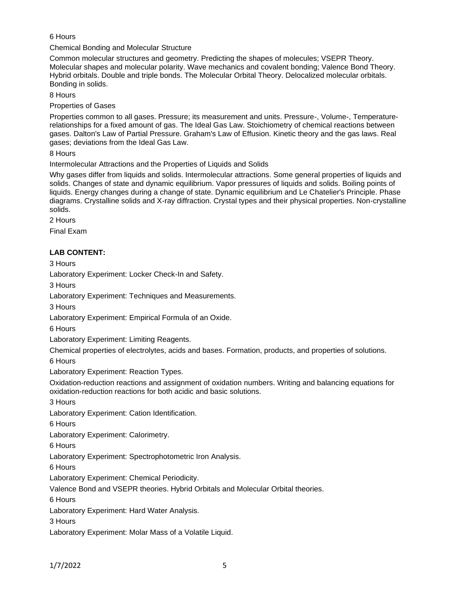# 6 Hours

Chemical Bonding and Molecular Structure

Common molecular structures and geometry. Predicting the shapes of molecules; VSEPR Theory. Molecular shapes and molecular polarity. Wave mechanics and covalent bonding; Valence Bond Theory. Hybrid orbitals. Double and triple bonds. The Molecular Orbital Theory. Delocalized molecular orbitals. Bonding in solids.

8 Hours

Properties of Gases

Properties common to all gases. Pressure; its measurement and units. Pressure-, Volume-, Temperaturerelationships for a fixed amount of gas. The Ideal Gas Law. Stoichiometry of chemical reactions between gases. Dalton's Law of Partial Pressure. Graham's Law of Effusion. Kinetic theory and the gas laws. Real gases; deviations from the Ideal Gas Law.

8 Hours

Intermolecular Attractions and the Properties of Liquids and Solids

Why gases differ from liquids and solids. Intermolecular attractions. Some general properties of liquids and solids. Changes of state and dynamic equilibrium. Vapor pressures of liquids and solids. Boiling points of liquids. Energy changes during a change of state. Dynamic equilibrium and Le Chatelier's Principle. Phase diagrams. Crystalline solids and X-ray diffraction. Crystal types and their physical properties. Non-crystalline solids.

2 Hours

Final Exam

# **LAB CONTENT:**

3 Hours Laboratory Experiment: Locker Check-In and Safety. 3 Hours Laboratory Experiment: Techniques and Measurements. 3 Hours Laboratory Experiment: Empirical Formula of an Oxide. 6 Hours Laboratory Experiment: Limiting Reagents. Chemical properties of electrolytes, acids and bases. Formation, products, and properties of solutions. 6 Hours Laboratory Experiment: Reaction Types. Oxidation-reduction reactions and assignment of oxidation numbers. Writing and balancing equations for oxidation-reduction reactions for both acidic and basic solutions. 3 Hours Laboratory Experiment: Cation Identification. 6 Hours Laboratory Experiment: Calorimetry. 6 Hours Laboratory Experiment: Spectrophotometric Iron Analysis. 6 Hours Laboratory Experiment: Chemical Periodicity. Valence Bond and VSEPR theories. Hybrid Orbitals and Molecular Orbital theories. 6 Hours Laboratory Experiment: Hard Water Analysis. 3 Hours Laboratory Experiment: Molar Mass of a Volatile Liquid.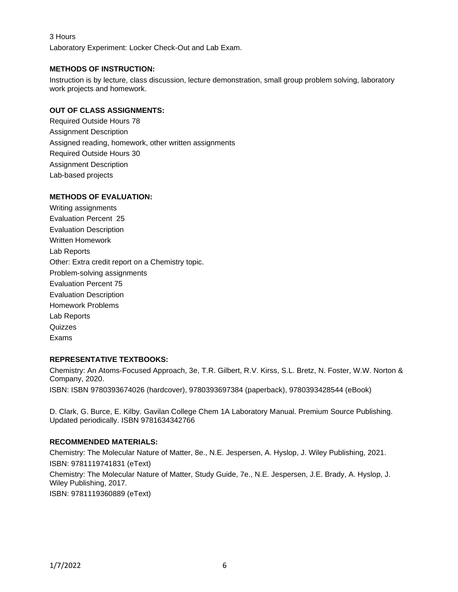## 3 Hours

Laboratory Experiment: Locker Check-Out and Lab Exam.

## **METHODS OF INSTRUCTION:**

Instruction is by lecture, class discussion, lecture demonstration, small group problem solving, laboratory work projects and homework.

## **OUT OF CLASS ASSIGNMENTS:**

Required Outside Hours 78 Assignment Description Assigned reading, homework, other written assignments Required Outside Hours 30 Assignment Description Lab-based projects

# **METHODS OF EVALUATION:**

Writing assignments Evaluation Percent 25 Evaluation Description Written Homework Lab Reports Other: Extra credit report on a Chemistry topic. Problem-solving assignments Evaluation Percent 75 Evaluation Description Homework Problems Lab Reports **Quizzes** Exams

### **REPRESENTATIVE TEXTBOOKS:**

Chemistry: An Atoms-Focused Approach, 3e, T.R. Gilbert, R.V. Kirss, S.L. Bretz, N. Foster, W.W. Norton & Company, 2020.

ISBN: ISBN 9780393674026 (hardcover), 9780393697384 (paperback), 9780393428544 (eBook)

D. Clark, G. Burce, E. Kilby. Gavilan College Chem 1A Laboratory Manual. Premium Source Publishing. Updated periodically. ISBN 9781634342766

### **RECOMMENDED MATERIALS:**

Chemistry: The Molecular Nature of Matter, 8e., N.E. Jespersen, A. Hyslop, J. Wiley Publishing, 2021. ISBN: 9781119741831 (eText) Chemistry: The Molecular Nature of Matter, Study Guide, 7e., N.E. Jespersen, J.E. Brady, A. Hyslop, J. Wiley Publishing, 2017. ISBN: 9781119360889 (eText)